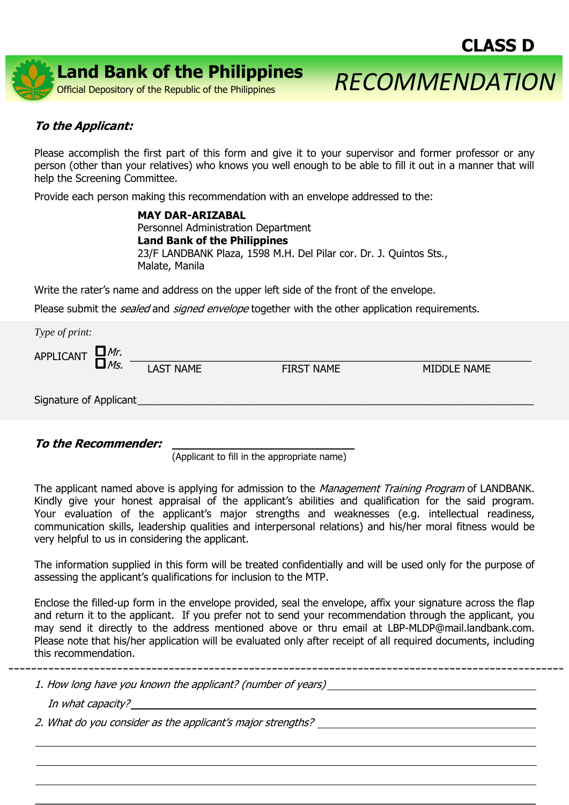

## **To the Applicant:**

Please accomplish the first part of this form and give it to your supervisor and former professor or any person (other than your relatives) who knows you well enough to be able to fill it out in a manner that will help the Screening Committee.

Provide each person making this recommendation with an envelope addressed to the:

**MAY DAR-ARIZABAL** Personnel Administration Department **Land Bank of the Philippines** 23/F LANDBANK Plaza, 1598 M.H. Del Pilar cor. Dr. J. Quintos Sts., Malate, Manila

Write the rater's name and address on the upper left side of the front of the envelope.

Please submit the *sealed* and *signed envelope* together with the other application requirements.

| Type of print:               |  |                  |                   |                    |  |  |
|------------------------------|--|------------------|-------------------|--------------------|--|--|
| APPLICANT $\Box_{MS.}^{Mr.}$ |  |                  |                   |                    |  |  |
|                              |  | <b>LAST NAME</b> | <b>FIRST NAME</b> | <b>MIDDLE NAME</b> |  |  |
|                              |  |                  |                   |                    |  |  |
| Signature of Applicant       |  |                  |                   |                    |  |  |

**To the Recommender: \_\_\_\_\_\_\_\_\_\_\_\_\_\_\_\_\_\_\_\_\_\_\_\_\_**

(Applicant to fill in the appropriate name)

The applicant named above is applying for admission to the *Management Training Program* of LANDBANK. Kindly give your honest appraisal of the applicant's abilities and qualification for the said program. Your evaluation of the applicant's major strengths and weaknesses (e.g. intellectual readiness, communication skills, leadership qualities and interpersonal relations) and his/her moral fitness would be very helpful to us in considering the applicant.

The information supplied in this form will be treated confidentially and will be used only for the purpose of assessing the applicant's qualifications for inclusion to the MTP.

Enclose the filled-up form in the envelope provided, seal the envelope, affix your signature across the flap and return it to the applicant. If you prefer not to send your recommendation through the applicant, you may send it directly to the address mentioned above or thru email at LBP-MLDP@mail.landbank.com. Please note that his/her application will be evaluated only after receipt of all required documents, including this recommendation.

\_\_\_\_\_\_\_\_\_\_\_\_\_\_\_\_\_\_\_\_\_\_\_

\_\_\_\_\_\_\_\_\_\_\_\_\_\_\_\_\_\_\_\_\_\_\_\_\_\_\_\_\_\_\_\_\_\_\_\_\_\_\_\_\_\_\_\_\_\_\_\_\_\_\_\_\_\_\_\_\_\_\_\_\_\_\_\_\_\_\_\_\_\_\_\_\_\_\_\_\_\_\_\_\_\_\_\_\_\_\_ \_\_\_\_\_\_\_\_\_\_\_\_\_\_\_\_\_\_\_\_\_\_\_\_\_\_\_\_\_\_\_\_\_\_\_\_\_\_\_\_\_\_\_\_\_\_\_\_\_\_\_\_\_\_\_\_\_\_\_\_\_\_\_\_\_\_\_\_\_\_\_\_\_\_\_\_\_\_\_\_\_\_\_\_\_\_\_

1. How long have you known the applicant? (number of years)

In what capacity?

2. What do you consider as the applicant's major strengths?